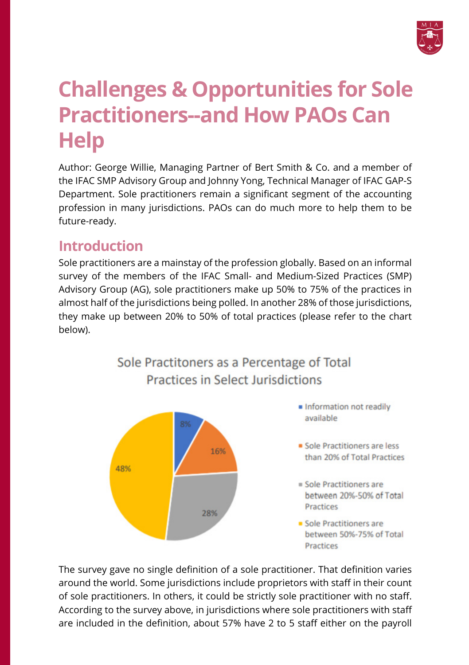

# **Challenges & Opportunities for Sole Practitioners--and How PAOs Can Help**

Author: George Willie, Managing Partner of Bert Smith & Co. and a member of the IFAC SMP Advisory Group and Johnny Yong, Technical Manager of IFAC GAP-S Department. Sole practitioners remain a significant segment of the accounting profession in many jurisdictions. PAOs can do much more to help them to be future-ready.

## **Introduction**

Sole practitioners are a mainstay of the profession globally. Based on an informal survey of the members of the IFAC Small- and Medium-Sized Practices (SMP) Advisory Group (AG), sole practitioners make up 50% to 75% of the practices in almost half of the jurisdictions being polled. In another 28% of those jurisdictions, they make up between 20% to 50% of total practices (please refer to the chart below).



The survey gave no single definition of a sole practitioner. That definition varies around the world. Some jurisdictions include proprietors with staff in their count of sole practitioners. In others, it could be strictly sole practitioner with no staff. According to the survey above, in jurisdictions where sole practitioners with staff are included in the definition, about 57% have 2 to 5 staff either on the payroll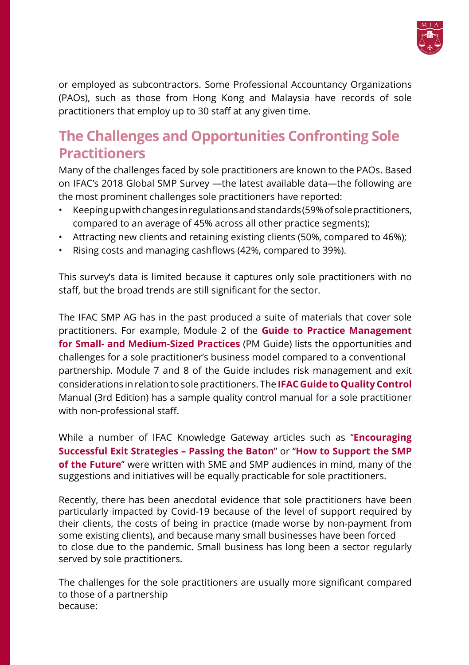

or employed as subcontractors. Some Professional Accountancy Organizations (PAOs), such as those from Hong Kong and Malaysia have records of sole practitioners that employ up to 30 staff at any given time.

## **The Challenges and Opportunities Confronting Sole Practitioners**

Many of the challenges faced by sole practitioners are known to the PAOs. Based on IFAC's 2018 Global SMP Survey —the latest available data—the following are the most prominent challenges sole practitioners have reported:

- Keeping up with changes in regulations and standards (59% of sole practitioners, compared to an average of 45% across all other practice segments);
- Attracting new clients and retaining existing clients (50%, compared to 46%);
- Rising costs and managing cashflows (42%, compared to 39%).

This survey's data is limited because it captures only sole practitioners with no staff, but the broad trends are still significant for the sector.

The IFAC SMP AG has in the past produced a suite of materials that cover sole practitioners. For example, Module 2 of the **[Guide to Practice Management](https://www.ifac.org/knowledge-gateway/preparing-future-ready-professionals/publications/guide-practice-management-small-and-medium-sized-practices)  [for Small- and Medium-Sized Practices](https://www.ifac.org/knowledge-gateway/preparing-future-ready-professionals/publications/guide-practice-management-small-and-medium-sized-practices)** (PM Guide) lists the opportunities and challenges for a sole practitioner's business model compared to a conventional partnership. Module 7 and 8 of the Guide includes risk management and exit considerations in relation to sole practitioners. The **[IFAC Guide to Quality Control](https://www.ifac.org/system/files/publications/files/SMP-Quality-Control-Guide-3e.pdf)**  Manual (3rd Edition) has a sample quality control manual for a sole practitioner with non-professional staff.

While a number of IFAC Knowledge Gateway articles such as "**[Encouraging](https://www.ifac.org/knowledge-gateway/preparing-future-ready-professionals/discussion/encouraging-successful-exit-strategies-passing-baton)  [Successful Exit Strategies – Passing the Baton](https://www.ifac.org/knowledge-gateway/preparing-future-ready-professionals/discussion/encouraging-successful-exit-strategies-passing-baton)**" or "**How to Support the SMP [of the Future](https://www.ifac.org/knowledge-gateway/preparing-future-ready-professionals/discussion/encouraging-successful-exit-strategies-passing-baton)**" were written with SME and SMP audiences in mind, many of the suggestions and initiatives will be equally practicable for sole practitioners.

Recently, there has been anecdotal evidence that sole practitioners have been particularly impacted by Covid-19 because of the level of support required by their clients, the costs of being in practice (made worse by non-payment from some existing clients), and because many small businesses have been forced to close due to the pandemic. Small business has long been a sector regularly served by sole practitioners.

The challenges for the sole practitioners are usually more significant compared to those of a partnership because: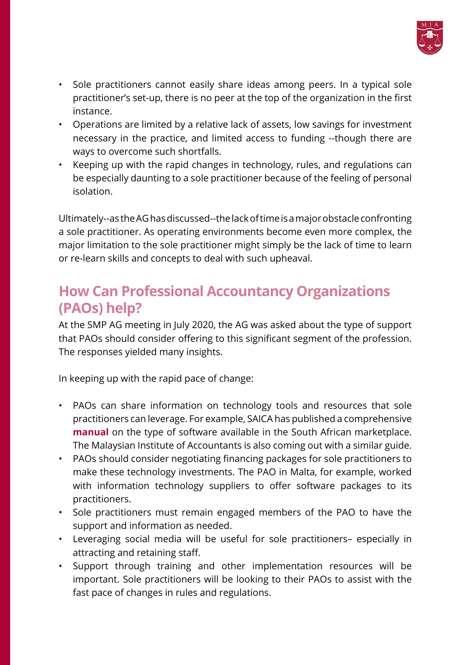

- Sole practitioners cannot easily share ideas among peers. In a typical sole practitioner's set-up, there is no peer at the top of the organization in the first instance.
- Operations are limited by a relative lack of assets, low savings for investment necessary in the practice, and limited access to funding --though there are ways to overcome such shortfalls.
- Keeping up with the rapid changes in technology, rules, and regulations can be especially daunting to a sole practitioner because of the feeling of personal isolation.

Ultimately--as the AG has discussed--the lack of time is a major obstacle confronting a sole practitioner. As operating environments become even more complex, the major limitation to the sole practitioner might simply be the lack of time to learn or re-learn skills and concepts to deal with such upheaval.

## **How Can Professional Accountancy Organizations (PAOs) help?**

At the SMP AG meeting in July 2020, the AG was asked about the type of support that PAOs should consider offering to this significant segment of the profession. The responses yielded many insights.

In keeping up with the rapid pace of change:

- PAOs can share information on technology tools and resources that sole practitioners can leverage. For example, SAICA has published a comprehensive **[manual](https://www.saica.co.za/portals/0/documents/saicasoftwareguide.pdf)** on the type of software available in the South African marketplace. The Malaysian Institute of Accountants is also coming out with a similar guide.
- PAOs should consider negotiating financing packages for sole practitioners to make these technology investments. The PAO in Malta, for example, worked with information technology suppliers to offer software packages to its practitioners.
- Sole practitioners must remain engaged members of the PAO to have the support and information as needed.
- Leveraging social media will be useful for sole practitioners– especially in attracting and retaining staff.
- Support through training and other implementation resources will be important. Sole practitioners will be looking to their PAOs to assist with the fast pace of changes in rules and regulations.